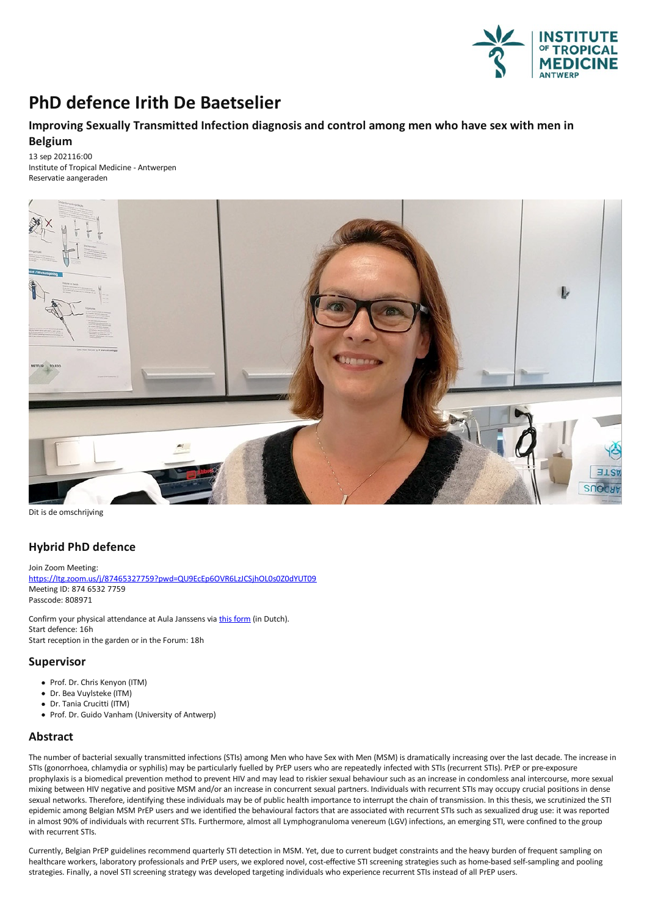

# **PhD defence Irith De Baetselier**

## **ImprovingSexually Transmitted Infection diagnosis and control among men who have sex with men in Belgium**

13 sep 202116:00 Institute of Tropical Medicine - Antwerpen Reservatie aangeraden



Dit is de omschrijving

## **Hybrid PhD defence**

Join Zoom Meeting: [https://Itg.zoom.us/j/87465327759?pwd=QU9EcEp6OVR6LzJCSjhOL0s0Z0dYUT09](https://itg.zoom.us/j/87465327759?pwd=QU9EcEp6OVR6LzJCSjhOL0s0Z0dYUT09) Meeting ID: 874 6532 7759 Passcode: 808971

Confirm your physical attendance at Aula Janssens via this [form](https://docs.google.com/forms/d/e/1FAIpQLSeGqaXip9GczQu8StBBvGLK3oKUbU1x5aN8oiS5YkDdpdrD4A/viewform?vc=0&c=0&w=1&flr=0) (in Dutch). Start defence: 16h Start reception in the garden or in the Forum: 18h

### **Supervisor**

- Prof. Dr. Chris Kenyon (ITM)
- Dr. Bea Vuylsteke (ITM)
- Dr.Tania Crucitti (ITM)
- Prof. Dr. Guido Vanham (University of Antwerp)

### **Abstract**

The number of bacterial sexually transmitted infections (STIs) among Men who have Sex with Men (MSM) is dramatically increasing over the last decade. The increase in STIs (gonorrhoea, chlamydia or syphilis) may be particularly fuelled by PrEP users who are repeatedly infected with STIs (recurrent STIs). PrEP or pre-exposure<br>prophylaxis is a biomedical prevention method to prevent HIV a mixing between HIV negative and positive MSM and/or an increase in concurrent sexual partners. Individuals with recurrent STIs may occupy crucial positions in dense sexual networks. Therefore, identifying these individuals may be of public health importance to interrupt the chain of transmission. In this thesis, we scrutinized the STI epidemic among Belgian MSM PrEP users and we identified the behavioural factors that are associated with recurrent STIs such as sexualized drug use: it was reported in almost 90% of individuals with recurrent STIs. Furthermore, almost all Lymphogranuloma venereum (LGV) infections, an emerging STI, were confined to the group with recurrent STIs.

Currently, Belgian PrEP guidelines recommend quarterly STI detection in MSM. Yet, due to current budget constraints and the heavy burden of frequent sampling on healthcare workers, laboratory professionals and PrEP users, we explored novel, cost-effective STI screening strategies such as home-based self-sampling and pooling strategies.Finally,a novel STI screening strategy was developed targeting individuals who experience recurrent STIs instead ofall PrEP users.